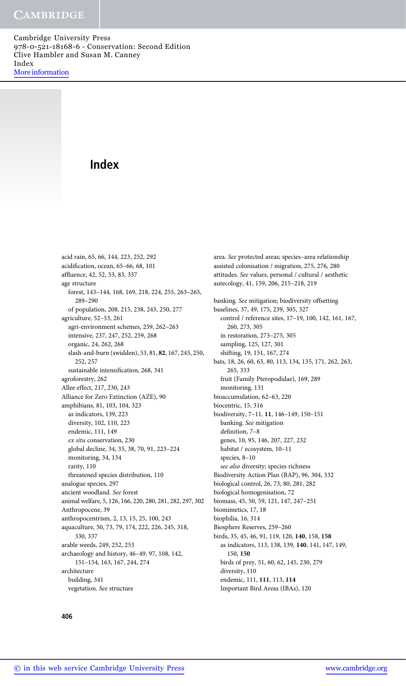# Index

acid rain, 65, 66, 144, 223, 252, 292 acidification, ocean, 65–66, 68, 101 affluence, 42, 52, 53, 83, 337 age structure forest, 143–144, 168, 169, 218, 224, 255, 263–265, 289–290 of population, 208, 215, 238, 243, 250, 277 agriculture, 52–53, 261 agri-environment schemes, 259, 262–263 intensive, 237, 247, 252, 259, 268 organic, 24, 262, 268 slash-and-burn (swidden), 53, 81, 82, 167, 245, 250, 252, 257 sustainable intensification, 268, 341 agroforestry, 262 Allee effect, 217, 230, 243 Alliance for Zero Extinction (AZE), 90 amphibians, 81, 103, 104, 323 as indicators, 139, 223 diversity, 102, 110, 223 endemic, 111, 149 ex situ conservation, 230 global decline, 34, 35, 38, 70, 91, 223–224 monitoring, 34, 134 rarity, 110 threatened species distribution, 110 analogue species, 297 ancient woodland. See forest animal welfare, 5, 126, 166, 220, 280, 281, 282, 297, 302 Anthropocene, 39 anthropocentrism, 2, 13, 15, 25, 100, 243 aquaculture, 50, 73, 79, 174, 222, 226, 245, 318, 330, 337 arable weeds, 249, 252, 253 archaeology and history, 46–49, 97, 108, 142, 151–154, 163, 167, 244, 274 architecture building, 341 vegetation. See structure

assisted colonisation / migration, 275, 276, 280 attitudes. See values, personal / cultural / aesthetic autecology, 41, 159, 206, 215–218, 219 banking. See mitigation; biodiversity offsetting baselines, 37, 49, 175, 239, 305, 327 control / reference sites, 17–19, 100, 142, 161, 167, 260, 273, 305 in restoration, 273–275, 305 sampling, 125, 127, 301 shifting, 19, 151, 167, 274 bats, 18, 26, 60, 63, 80, 113, 134, 135, 171, 262, 263, 265, 333 fruit (Family Pteropodidae), 169, 289 monitoring, 131 bioaccumulation, 62–63, 220 biocentric, 15, 316 biodiversity, 7–11, 11, 146–149, 150–151 banking. See mitigation definition, 7–8 genes, 10, 95, 146, 207, 227, 232 habitat / ecosystem, 10–11

area. See protected areas; species–area relationship

species, 8–10 see also diversity; species richness Biodiversity Action Plan (BAP), 96, 304, 332 biological control, 26, 73, 80, 281, 282 biological homogenisation, 72 biomass, 45, 50, 59, 121, 147, 247–251 biomimetics, 17, 18 biophilia, 16, 314 Biosphere Reserves, 259–260 birds, 35, 45, 46, 91, 119, 120, 140, 158, 158 as indicators, 113, 138, 139, 140, 141, 147, 149, 150, 150 birds of prey, 51, 60, 62, 145, 230, 279 diversity, 110

endemic, 111, 111, 113, 114 Important Bird Areas (IBAs), 120

### 406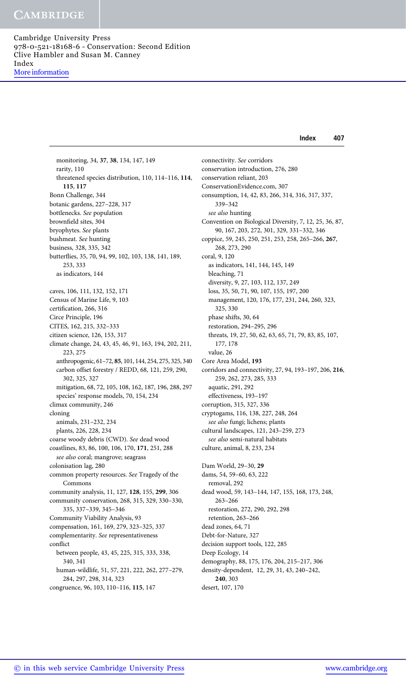# **CAMBRIDGE**

Cambridge University Press 978-0-521-18168-6 - Conservation: Second Edition Clive Hambler and Susan M. Canney Index More information

Index 407

monitoring, 34, 37, 38, 134, 147, 149 rarity, 110 threatened species distribution, 110, 114–116, 114, 115, 117 Bonn Challenge, 344 botanic gardens, 227–228, 317 bottlenecks. See population brownfield sites, 304 bryophytes. See plants bushmeat. See hunting business, 328, 335, 342 butterflies, 35, 70, 94, 99, 102, 103, 138, 141, 189, 253, 333 as indicators, 144 caves, 106, 111, 132, 152, 171 Census of Marine Life, 9, 103 certification, 266, 316 Circe Principle, 196 CITES, 162, 215, 332–333 citizen science, 126, 153, 317 climate change, 24, 43, 45, 46, 91, 163, 194, 202, 211, 223, 275 anthropogenic, 61–72, 85, 101, 144, 254, 275, 325, 340 carbon offset forestry / REDD, 68, 121, 259, 290, 302, 325, 327 mitigation, 68, 72, 105, 108, 162, 187, 196, 288, 297 species' response models, 70, 154, 234 climax community, 246 cloning animals, 231–232, 234 plants, 226, 228, 234 coarse woody debris (CWD). See dead wood coastlines, 83, 86, 100, 106, 170, 171, 251, 288 see also coral; mangrove; seagrass colonisation lag, 280 common property resources. See Tragedy of the Commons community analysis, 11, 127, 128, 155, 299, 306 community conservation, 268, 315, 329, 330–330, 335, 337–339, 345–346 Community Viability Analysis, 93 compensation, 161, 169, 279, 323–325, 337 complementarity. See representativeness conflict between people, 43, 45, 225, 315, 333, 338, 340, 341 human-wildlife, 51, 57, 221, 222, 262, 277–279, 284, 297, 298, 314, 323 congruence, 96, 103, 110–116, 115, 147

connectivity. See corridors conservation introduction, 276, 280 conservation reliant, 203 ConservationEvidence.com, 307 consumption, 14, 42, 83, 266, 314, 316, 317, 337, 339–342 see also hunting Convention on Biological Diversity, 7, 12, 25, 36, 87, 90, 167, 203, 272, 301, 329, 331–332, 346 coppice, 59, 245, 250, 251, 253, 258, 265–266, 267, 268, 273, 290 coral, 9, 120 as indicators, 141, 144, 145, 149 bleaching, 71 diversity, 9, 27, 103, 112, 137, 249 loss, 35, 50, 71, 90, 107, 155, 197, 200 management, 120, 176, 177, 231, 244, 260, 323, 325, 330 phase shifts, 30, 64 restoration, 294–295, 296 threats, 19, 27, 50, 62, 63, 65, 71, 79, 83, 85, 107, 177, 178 value, 26 Core Area Model, 193 corridors and connectivity, 27, 94, 193–197, 206, 216, 259, 262, 273, 285, 333 aquatic, 291, 292 effectiveness, 193–197 corruption, 315, 327, 336 cryptogams, 116, 138, 227, 248, 264 see also fungi; lichens; plants cultural landscapes, 121, 243–259, 273 see also semi-natural habitats culture, animal, 8, 233, 234 Dam World, 29–30, 29 dams, 54, 59–60, 63, 222 removal, 292 dead wood, 59, 143–144, 147, 155, 168, 173, 248, 263–266 restoration, 272, 290, 292, 298 retention, 263–266 dead zones, 64, 71 Debt-for-Nature, 327 decision support tools, 122, 285 Deep Ecology, 14 demography, 88, 175, 176, 204, 215–217, 306

density-dependent, 12, 29, 31, 43, 240–242, 240, 303

desert, 107, 170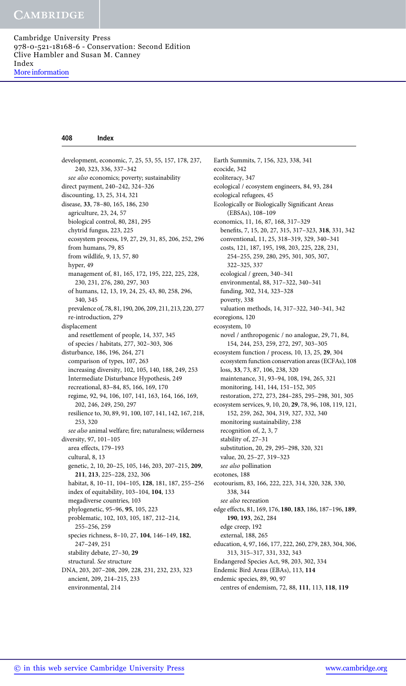#### 408 Index

development, economic, 7, 25, 53, 55, 157, 178, 237, 240, 323, 336, 337–342 see also economics; poverty; sustainability direct payment, 240–242, 324–326 discounting, 13, 25, 314, 321 disease, 33, 78–80, 165, 186, 230 agriculture, 23, 24, 57 biological control, 80, 281, 295 chytrid fungus, 223, 225 ecosystem process, 19, 27, 29, 31, 85, 206, 252, 296 from humans, 79, 85 from wildlife, 9, 13, 57, 80 hyper, 49 management of, 81, 165, 172, 195, 222, 225, 228, 230, 231, 276, 280, 297, 303 of humans, 12, 13, 19, 24, 25, 43, 80, 258, 296, 340, 345 prevalence of, 78, 81, 190, 206, 209, 211, 213, 220, 277 re-introduction, 279 displacement and resettlement of people, 14, 337, 345 of species / habitats, 277, 302–303, 306 disturbance, 186, 196, 264, 271 comparison of types, 107, 263 increasing diversity, 102, 105, 140, 188, 249, 253 Intermediate Disturbance Hypothesis, 249 recreational, 83–84, 85, 166, 169, 170 regime, 92, 94, 106, 107, 141, 163, 164, 166, 169, 202, 246, 249, 250, 297 resilience to, 30, 89, 91, 100, 107, 141, 142, 167, 218, 253, 320 see also animal welfare; fire; naturalness; wilderness diversity, 97, 101–105 area effects, 179–193 cultural, 8, 13 genetic, 2, 10, 20–25, 105, 146, 203, 207–215, 209, 211, 213, 225–228, 232, 306 habitat, 8, 10–11, 104–105, 128, 181, 187, 255–256 index of equitability, 103–104, 104, 133 megadiverse countries, 103 phylogenetic, 95–96, 95, 105, 223 problematic, 102, 103, 105, 187, 212–214, 255–256, 259 species richness, 8–10, 27, 104, 146–149, 182, 247–249, 251 stability debate, 27–30, 29 structural. See structure DNA, 203, 207–208, 209, 228, 231, 232, 233, 323 ancient, 209, 214–215, 233 environmental, 214

Earth Summits, 7, 156, 323, 338, 341 ecocide, 342 ecoliteracy, 347 ecological / ecosystem engineers, 84, 93, 284 ecological refugees, 45 Ecologically or Biologically Significant Areas (EBSAs), 108–109 economics, 11, 16, 87, 168, 317–329 benefits, 7, 15, 20, 27, 315, 317–323, 318, 331, 342 conventional, 11, 25, 318–319, 329, 340–341 costs, 121, 187, 195, 198, 203, 225, 228, 231, 254–255, 259, 280, 295, 301, 305, 307, 322–325, 337 ecological / green, 340–341 environmental, 88, 317–322, 340–341 funding, 302, 314, 323–328 poverty, 338 valuation methods, 14, 317–322, 340–341, 342 ecoregions, 120 ecosystem, 10 novel / anthropogenic / no analogue, 29, 71, 84, 154, 244, 253, 259, 272, 297, 303–305 ecosystem function / process, 10, 13, 25, 29, 304 ecosystem function conservation areas (ECFAs), 108 loss, 33, 73, 87, 106, 238, 320 maintenance, 31, 93–94, 108, 194, 265, 321 monitoring, 141, 144, 151–152, 305 restoration, 272, 273, 284–285, 295–298, 301, 305 ecosystem services, 9, 10, 20, 29, 78, 96, 108, 119, 121, 152, 259, 262, 304, 319, 327, 332, 340 monitoring sustainability, 238 recognition of, 2, 3, 7 stability of, 27–31 substitution, 20, 29, 295–298, 320, 321 value, 20, 25–27, 319–323 see also pollination ecotones, 188 ecotourism, 83, 166, 222, 223, 314, 320, 328, 330, 338, 344 see also recreation edge effects, 81, 169, 176, 180, 183, 186, 187–196, 189, 190, 193, 262, 284 edge creep, 192 external, 188, 265 education, 4, 97, 166, 177, 222, 260, 279, 283, 304, 306, 313, 315–317, 331, 332, 343 Endangered Species Act, 98, 203, 302, 334 Endemic Bird Areas (EBAs), 113, 114 endemic species, 89, 90, 97 centres of endemism, 72, 88, 111, 113, 118, 119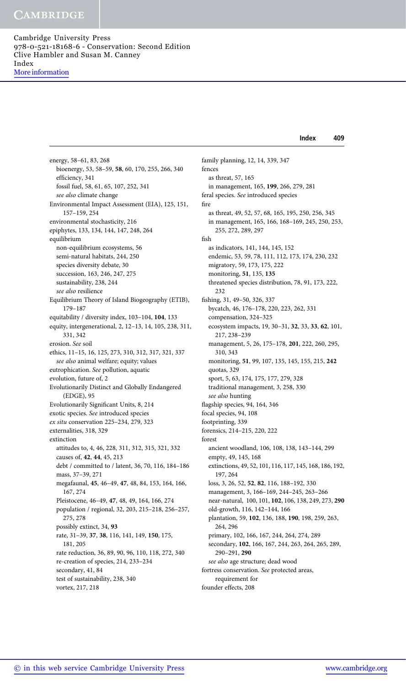Index 409

energy, 58–61, 83, 268 bioenergy, 53, 58–59, 58, 60, 170, 255, 266, 340 efficiency, 341 fossil fuel, 58, 61, 65, 107, 252, 341 see also climate change Environmental Impact Assessment (EIA), 125, 151, 157–159, 254 environmental stochasticity, 216 epiphytes, 133, 134, 144, 147, 248, 264 equilibrium non-equilibrium ecosystems, 56 semi-natural habitats, 244, 250 species diversity debate, 30 succession, 163, 246, 247, 275 sustainability, 238, 244 see also resilience Equilibrium Theory of Island Biogeography (ETIB), 179–187 equitability / diversity index, 103–104, 104, 133 equity, intergenerational, 2, 12–13, 14, 105, 238, 311, 331, 342 erosion. See soil ethics, 11–15, 16, 125, 273, 310, 312, 317, 321, 337 see also animal welfare; equity; values eutrophication. See pollution, aquatic evolution, future of, 2 Evolutionarily Distinct and Globally Endangered (EDGE), 95 Evolutionarily Significant Units, 8, 214 exotic species. See introduced species ex situ conservation 225–234, 279, 323 externalities, 318, 329 extinction attitudes to, 4, 46, 228, 311, 312, 315, 321, 332 causes of, 42, 44, 45, 213 debt / committed to / latent, 36, 70, 116, 184–186 mass, 37–39, 271 megafaunal, 45, 46–49, 47, 48, 84, 153, 164, 166, 167, 274 Pleistocene, 46–49, 47, 48, 49, 164, 166, 274 population / regional, 32, 203, 215–218, 256–257, 275, 278 possibly extinct, 34, 93 rate, 31–39, 37, 38, 116, 141, 149, 150, 175, 181, 205 rate reduction, 36, 89, 90, 96, 110, 118, 272, 340 re-creation of species, 214, 233–234 secondary, 41, 84 test of sustainability, 238, 340 vortex, 217, 218

family planning, 12, 14, 339, 347 fences as threat, 57, 165 in management, 165, 199, 266, 279, 281 feral species. See introduced species fire as threat, 49, 52, 57, 68, 165, 195, 250, 256, 345 in management, 165, 166, 168–169, 245, 250, 253, 255, 272, 289, 297 fish as indicators, 141, 144, 145, 152 endemic, 53, 59, 78, 111, 112, 173, 174, 230, 232 migratory, 59, 173, 175, 222 monitoring, 51, 135, 135 threatened species distribution, 78, 91, 173, 222, 232 fishing, 31, 49–50, 326, 337 bycatch, 46, 176–178, 220, 223, 262, 331 compensation, 324–325 ecosystem impacts, 19, 30–31, 32, 33, 33, 62, 101, 217, 238–239 management, 5, 26, 175–178, 201, 222, 260, 295, 310, 343 monitoring, 51, 99, 107, 135, 145, 155, 215, 242 quotas, 329 sport, 5, 63, 174, 175, 177, 279, 328 traditional management, 3, 258, 330 see also hunting flagship species, 94, 164, 346 focal species, 94, 108 footprinting, 339 forensics, 214–215, 220, 222 forest ancient woodland, 106, 108, 138, 143–144, 299 empty, 49, 145, 168 extinctions, 49, 52, 101, 116, 117, 145, 168, 186, 192, 197, 264 loss, 3, 26, 52, 52, 82, 116, 188–192, 330 management, 3, 166–169, 244–245, 263–266 near-natural, 100, 101, 102, 106, 138, 249, 273, 290 old-growth, 116, 142–144, 166 plantation, 59, 102, 136, 188, 190, 198, 259, 263, 264, 296 primary, 102, 166, 167, 244, 264, 274, 289 secondary, 102, 166, 167, 244, 263, 264, 265, 289, 290–291, 290 see also age structure; dead wood fortress conservation. See protected areas, requirement for founder effects, 208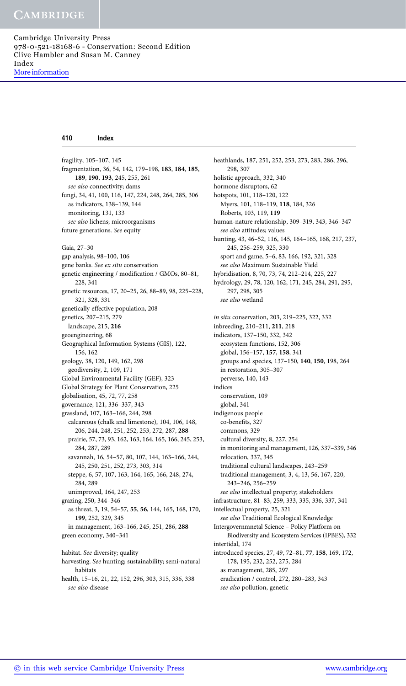### 410 Index

fragility, 105–107, 145 fragmentation, 36, 54, 142, 179–198, 183, 184, 185, 189, 190, 193, 245, 255, 261 see also connectivity; dams fungi, 34, 41, 100, 116, 147, 224, 248, 264, 285, 306 as indicators, 138–139, 144 monitoring, 131, 133 see also lichens; microorganisms future generations. See equity Gaia, 27–30 gap analysis, 98–100, 106 gene banks. See ex situ conservation genetic engineering / modification / GMOs, 80–81, 228, 341 genetic resources, 17, 20–25, 26, 88–89, 98, 225–228, 321, 328, 331 genetically effective population, 208 genetics, 207–215, 279 landscape, 215, 216 geoengineering, 68 Geographical Information Systems (GIS), 122, 156, 162 geology, 38, 120, 149, 162, 298 geodiversity, 2, 109, 171 Global Environmental Facility (GEF), 323 Global Strategy for Plant Conservation, 225 globalisation, 45, 72, 77, 258 governance, 121, 336–337, 343 grassland, 107, 163–166, 244, 298 calcareous (chalk and limestone), 104, 106, 148, 206, 244, 248, 251, 252, 253, 272, 287, 288 prairie, 57, 73, 93, 162, 163, 164, 165, 166, 245, 253, 284, 287, 289 savannah, 16, 54–57, 80, 107, 144, 163–166, 244, 245, 250, 251, 252, 273, 303, 314 steppe, 6, 57, 107, 163, 164, 165, 166, 248, 274, 284, 289 unimproved, 164, 247, 253 grazing, 250, 344–346 as threat, 3, 19, 54–57, 55, 56, 144, 165, 168, 170, 199, 252, 329, 345 in management, 163–166, 245, 251, 286, 288 green economy, 340–341 habitat. See diversity; quality harvesting. See hunting; sustainability; semi-natural habitats health, 15–16, 21, 22, 152, 296, 303, 315, 336, 338

heathlands, 187, 251, 252, 253, 273, 283, 286, 296, 298, 307 holistic approach, 332, 340 hormone disruptors, 62 hotspots, 101, 118–120, 122 Myers, 101, 118–119, 118, 184, 326 Roberts, 103, 119, 119 human-nature relationship, 309–319, 343, 346–347 see also attitudes; values hunting, 43, 46–52, 116, 145, 164–165, 168, 217, 237, 245, 256–259, 325, 330 sport and game, 5–6, 83, 166, 192, 321, 328 see also Maximum Sustainable Yield hybridisation, 8, 70, 73, 74, 212–214, 225, 227 hydrology, 29, 78, 120, 162, 171, 245, 284, 291, 295, 297, 298, 305 see also wetland in situ conservation, 203, 219–225, 322, 332 inbreeding, 210–211, 211, 218 indicators, 137–150, 332, 342 ecosystem functions, 152, 306 global, 156–157, 157, 158, 341 groups and species, 137–150, 140, 150, 198, 264 in restoration, 305–307 perverse, 140, 143 indices conservation, 109 global, 341 indigenous people co-benefits, 327 commons, 329 cultural diversity, 8, 227, 254 in monitoring and management, 126, 337–339, 346 relocation, 337, 345 traditional cultural landscapes, 243–259 traditional management, 3, 4, 13, 56, 167, 220, 243–246, 256–259 see also intellectual property; stakeholders infrastructure, 81–83, 259, 333, 335, 336, 337, 341 intellectual property, 25, 321 see also Traditional Ecological Knowledge Intergovernmnetal Science – Policy Platform on Biodiversity and Ecosystem Services (IPBES), 332 intertidal, 174 introduced species, 27, 49, 72–81, 77, 158, 169, 172, 178, 195, 232, 252, 275, 284 as management, 285, 297 eradication / control, 272, 280–283, 343

see also pollution, genetic

see also disease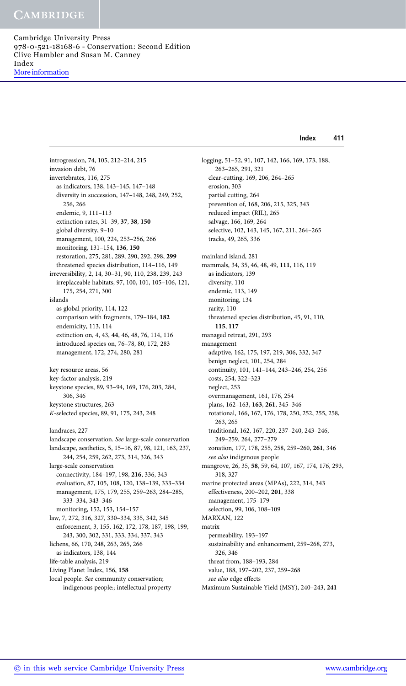Index 411

introgression, 74, 105, 212–214, 215 invasion debt, 76 invertebrates, 116, 275 as indicators, 138, 143–145, 147–148 diversity in succession, 147–148, 248, 249, 252, 256, 266 endemic, 9, 111–113 extinction rates, 31–39, 37, 38, 150 global diversity, 9–10 management, 100, 224, 253–256, 266 monitoring, 131–154, 136, 150 restoration, 275, 281, 289, 290, 292, 298, 299 threatened species distribution, 114–116, 149 irreversibility, 2, 14, 30–31, 90, 110, 238, 239, 243 irreplaceable habitats, 97, 100, 101, 105–106, 121, 175, 254, 271, 300 islands as global priority, 114, 122 comparison with fragments, 179–184, 182 endemicity, 113, 114 extinction on, 4, 43, 44, 46, 48, 76, 114, 116 introduced species on, 76–78, 80, 172, 283 management, 172, 274, 280, 281 key resource areas, 56 key-factor analysis, 219 keystone species, 89, 93–94, 169, 176, 203, 284, 306, 346 keystone structures, 263 K-selected species, 89, 91, 175, 243, 248 landraces, 227 landscape conservation. See large-scale conservation landscape, aesthetics, 5, 15–16, 87, 98, 121, 163, 237, 244, 254, 259, 262, 273, 314, 326, 343 large-scale conservation connectivity, 184–197, 198, 216, 336, 343 evaluation, 87, 105, 108, 120, 138–139, 333–334 management, 175, 179, 255, 259–263, 284–285, 333–334, 343–346 monitoring, 152, 153, 154–157 law, 7, 272, 316, 327, 330–334, 335, 342, 345 enforcement, 3, 155, 162, 172, 178, 187, 198, 199, 243, 300, 302, 331, 333, 334, 337, 343 lichens, 66, 170, 248, 263, 265, 266 as indicators, 138, 144 life-table analysis, 219 Living Planet Index, 156, 158 local people. See community conservation; indigenous people:; intellectual property

logging, 51–52, 91, 107, 142, 166, 169, 173, 188, 263–265, 291, 321 clear-cutting, 169, 206, 264–265 erosion, 303 partial cutting, 264 prevention of, 168, 206, 215, 325, 343 reduced impact (RIL), 265 salvage, 166, 169, 264 selective, 102, 143, 145, 167, 211, 264–265 tracks, 49, 265, 336 mainland island, 281 mammals, 34, 35, 46, 48, 49, 111, 116, 119 as indicators, 139 diversity, 110 endemic, 113, 149 monitoring, 134 rarity, 110 threatened species distribution, 45, 91, 110, 115, 117 managed retreat, 291, 293 management adaptive, 162, 175, 197, 219, 306, 332, 347 benign neglect, 101, 254, 284 continuity, 101, 141–144, 243–246, 254, 256 costs, 254, 322–323 neglect, 253 overmanagement, 161, 176, 254 plans, 162–163, 163, 261, 345–346 rotational, 166, 167, 176, 178, 250, 252, 255, 258, 263, 265 traditional, 162, 167, 220, 237–240, 243–246, 249–259, 264, 277–279 zonation, 177, 178, 255, 258, 259–260, 261, 346 see also indigenous people mangrove, 26, 35, 58, 59, 64, 107, 167, 174, 176, 293, 318, 327 marine protected areas (MPAs), 222, 314, 343 effectiveness, 200–202, 201, 338 management, 175–179 selection, 99, 106, 108–109 MARXAN, 122 matrix permeability, 193–197 sustainability and enhancement, 259–268, 273, 326, 346 threat from, 188–193, 284 value, 188, 197–202, 237, 259–268 see also edge effects Maximum Sustainable Yield (MSY), 240–243, 241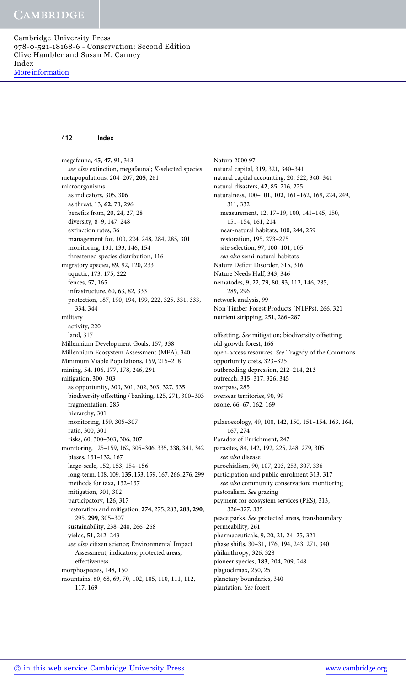#### 412 Index

megafauna, 45, 47, 91, 343 see also extinction, megafaunal; K-selected species metapopulations, 204–207, 205, 261 microorganisms as indicators, 305, 306 as threat, 13, 62, 73, 296 benefits from, 20, 24, 27, 28 diversity, 8–9, 147, 248 extinction rates, 36 management for, 100, 224, 248, 284, 285, 301 monitoring, 131, 133, 146, 154 threatened species distribution, 116 migratory species, 89, 92, 120, 233 aquatic, 173, 175, 222 fences, 57, 165 infrastructure, 60, 63, 82, 333 protection, 187, 190, 194, 199, 222, 325, 331, 333, 334, 344 military activity, 220 land, 317 Millennium Development Goals, 157, 338 Millennium Ecosystem Assessment (MEA), 340 Minimum Viable Populations, 159, 215–218 mining, 54, 106, 177, 178, 246, 291 mitigation, 300–303 as opportunity, 300, 301, 302, 303, 327, 335 biodiversity offsetting / banking, 125, 271, 300–303 fragmentation, 285 hierarchy, 301 monitoring, 159, 305–307 ratio, 300, 301 risks, 60, 300–303, 306, 307 monitoring, 125–159, 162, 305–306, 335, 338, 341, 342 biases, 131–132, 167 large-scale, 152, 153, 154–156 long-term, 108, 109, 135, 153, 159, 167, 266, 276, 299 methods for taxa, 132–137 mitigation, 301, 302 participatory, 126, 317 restoration and mitigation, 274, 275, 283, 288, 290, 295, 299, 305–307 sustainability, 238–240, 266–268 yields, 51, 242–243 see also citizen science; Environmental Impact Assessment; indicators; protected areas, effectiveness morphospecies, 148, 150 mountains, 60, 68, 69, 70, 102, 105, 110, 111, 112,

117, 169

Natura 2000 97 natural capital, 319, 321, 340–341 natural capital accounting, 20, 322, 340–341 natural disasters, 42, 85, 216, 225 naturalness, 100–101, 102, 161–162, 169, 224, 249, 311, 332 measurement, 12, 17–19, 100, 141–145, 150, 151–154, 161, 214 near-natural habitats, 100, 244, 259 restoration, 195, 273–275 site selection, 97, 100–101, 105 see also semi-natural habitats Nature Deficit Disorder, 315, 316 Nature Needs Half, 343, 346 nematodes, 9, 22, 79, 80, 93, 112, 146, 285, 289, 296 network analysis, 99 Non Timber Forest Products (NTFPs), 266, 321 nutrient stripping, 251, 286–287 offsetting. See mitigation; biodiversity offsetting old-growth forest, 166 open-access resources. See Tragedy of the Commons opportunity costs, 323–325 outbreeding depression, 212–214, 213 outreach, 315–317, 326, 345 overpass, 285 overseas territories, 90, 99 ozone, 66–67, 162, 169 palaeoecology, 49, 100, 142, 150, 151–154, 163, 164, 167, 274 Paradox of Enrichment, 247 parasites, 84, 142, 192, 225, 248, 279, 305 see also disease parochialism, 90, 107, 203, 253, 307, 336 participation and public enrolment 313, 317 see also community conservation; monitoring pastoralism. See grazing payment for ecosystem services (PES), 313, 326–327, 335 peace parks. See protected areas, transboundary permeability, 261 pharmaceuticals, 9, 20, 21, 24–25, 321 phase shifts, 30–31, 176, 194, 243, 271, 340 philanthropy, 326, 328 pioneer species, 183, 204, 209, 248 plagioclimax, 250, 251

planetary boundaries, 340

plantation. See forest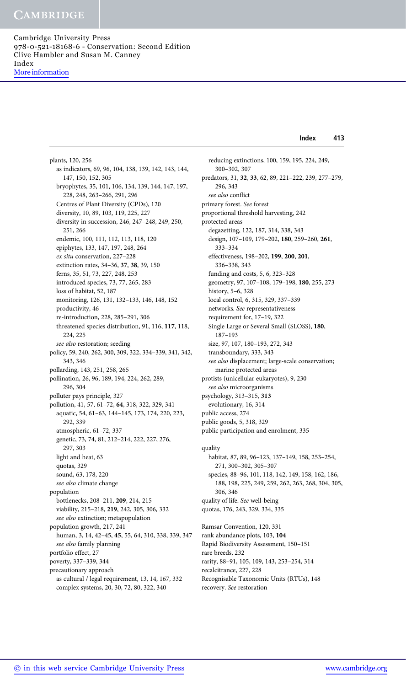Index 413

plants, 120, 256 as indicators, 69, 96, 104, 138, 139, 142, 143, 144, 147, 150, 152, 305 bryophytes, 35, 101, 106, 134, 139, 144, 147, 197, 228, 248, 263–266, 291, 296 Centres of Plant Diversity (CPDs), 120 diversity, 10, 89, 103, 119, 225, 227 diversity in succession, 246, 247–248, 249, 250, 251, 266 endemic, 100, 111, 112, 113, 118, 120 epiphytes, 133, 147, 197, 248, 264 ex situ conservation, 227–228 extinction rates, 34–36, 37, 38, 39, 150 ferns, 35, 51, 73, 227, 248, 253 introduced species, 73, 77, 265, 283 loss of habitat, 52, 187 monitoring, 126, 131, 132–133, 146, 148, 152 productivity, 46 re-introduction, 228, 285–291, 306 threatened species distribution, 91, 116, 117, 118, 224, 225 see also restoration; seeding policy, 59, 240, 262, 300, 309, 322, 334–339, 341, 342, 343, 346 pollarding, 143, 251, 258, 265 pollination, 26, 96, 189, 194, 224, 262, 289, 296, 304 polluter pays principle, 327 pollution, 41, 57, 61–72, 64, 318, 322, 329, 341 aquatic, 54, 61–63, 144–145, 173, 174, 220, 223, 292, 339 atmospheric, 61–72, 337 genetic, 73, 74, 81, 212–214, 222, 227, 276, 297, 303 light and heat, 63 quotas, 329 sound, 63, 178, 220 see also climate change population bottlenecks, 208–211, 209, 214, 215 viability, 215–218, 219, 242, 305, 306, 332 see also extinction; metapopulation population growth, 217, 241 human, 3, 14, 42–45, 45, 55, 64, 310, 338, 339, 347 see also family planning portfolio effect, 27 poverty, 337–339, 344 precautionary approach as cultural / legal requirement, 13, 14, 167, 332 complex systems, 20, 30, 72, 80, 322, 340

reducing extinctions, 100, 159, 195, 224, 249, 300–302, 307 predators, 31, 32, 33, 62, 89, 221–222, 239, 277–279, 296, 343 see also conflict primary forest. See forest proportional threshold harvesting, 242 protected areas degazetting, 122, 187, 314, 338, 343 design, 107–109, 179–202, 180, 259–260, 261, 333–334 effectiveness, 198–202, 199, 200, 201, 336–338, 343 funding and costs, 5, 6, 323–328 geometry, 97, 107–108, 179–198, 180, 255, 273 history, 5–6, 328 local control, 6, 315, 329, 337–339 networks. See representativeness requirement for, 17–19, 322 Single Large or Several Small (SLOSS), 180, 187–193 size, 97, 107, 180–193, 272, 343 transboundary, 333, 343 see also displacement; large-scale conservation; marine protected areas protists (unicellular eukaryotes), 9, 230 see also microorganisms psychology, 313–315, 313 evolutionary, 16, 314 public access, 274 public goods, 5, 318, 329 public participation and enrolment, 335 quality

habitat, 87, 89, 96–123, 137–149, 158, 253–254, 271, 300–302, 305–307 species, 88–96, 101, 118, 142, 149, 158, 162, 186, 188, 198, 225, 249, 259, 262, 263, 268, 304, 305, 306, 346 quality of life. See well-being quotas, 176, 243, 329, 334, 335 Ramsar Convention, 120, 331 rank abundance plots, 103, 104 Rapid Biodiversity Assessment, 150–151 rare breeds, 232 rarity, 88–91, 105, 109, 143, 253–254, 314 recalcitrance, 227, 228 Recognisable Taxonomic Units (RTUs), 148 recovery. See restoration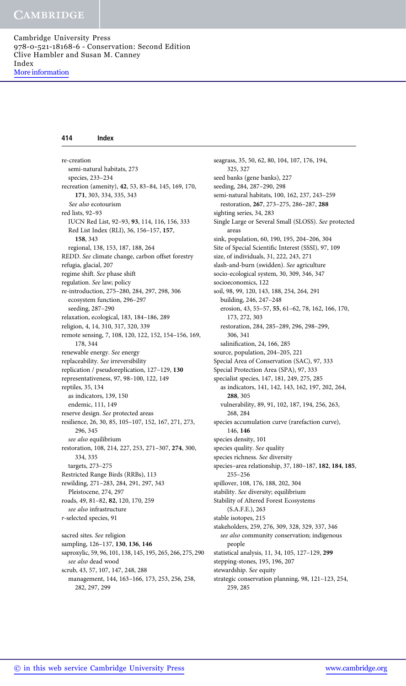#### 414 Index

re-creation semi-natural habitats, 273 species, 233–234 recreation (amenity), 42, 53, 83–84, 145, 169, 170, 171, 303, 334, 335, 343 See also ecotourism red lists, 92–93 IUCN Red List, 92–93, 93, 114, 116, 156, 333 Red List Index (RLI), 36, 156–157, 157, 158, 343 regional, 138, 153, 187, 188, 264 REDD. See climate change, carbon offset forestry refugia, glacial, 207 regime shift. See phase shift regulation. See law; policy re-introduction, 275–280, 284, 297, 298, 306 ecosystem function, 296–297 seeding, 287–290 relaxation, ecological, 183, 184–186, 289 religion, 4, 14, 310, 317, 320, 339 remote sensing, 7, 108, 120, 122, 152, 154–156, 169, 178, 344 renewable energy. See energy replaceability. See irreversibility replication / pseudoreplication, 127–129, 130 representativeness, 97, 98–100, 122, 149 reptiles, 35, 134 as indicators, 139, 150 endemic, 111, 149 reserve design. See protected areas resilience, 26, 30, 85, 105–107, 152, 167, 271, 273, 296, 345 see also equilibrium restoration, 108, 214, 227, 253, 271–307, 274, 300, 334, 335 targets, 273–275 Restricted Range Birds (RRBs), 113 rewilding, 271–283, 284, 291, 297, 343 Pleistocene, 274, 297 roads, 49, 81–82, 82, 120, 170, 259 see also infrastructure r-selected species, 91 sacred sites. See religion sampling, 126–137, 130, 136, 146

saproxylic, 59, 96, 101, 138, 145, 195, 265, 266, 275, 290 see also dead wood scrub, 43, 57, 107, 147, 248, 288 management, 144, 163–166, 173, 253, 256, 258, 282, 297, 299

seagrass, 35, 50, 62, 80, 104, 107, 176, 194, 325, 327 seed banks (gene banks), 227 seeding, 284, 287–290, 298 semi-natural habitats, 100, 162, 237, 243–259 restoration, 267, 273–275, 286–287, 288 sighting series, 34, 283 Single Large or Several Small (SLOSS). See protected areas sink, population, 60, 190, 195, 204–206, 304 Site of Special Scientific Interest (SSSI), 97, 109 size, of individuals, 31, 222, 243, 271 slash-and-burn (swidden). See agriculture socio-ecological system, 30, 309, 346, 347 socioeconomics, 122 soil, 98, 99, 120, 143, 188, 254, 264, 291 building, 246, 247–248 erosion, 43, 55–57, 55, 61–62, 78, 162, 166, 170, 173, 272, 303 restoration, 284, 285–289, 296, 298–299, 306, 341 salinification, 24, 166, 285 source, population, 204–205, 221 Special Area of Conservation (SAC), 97, 333 Special Protection Area (SPA), 97, 333 specialist species, 147, 181, 249, 275, 285 as indicators, 141, 142, 143, 162, 197, 202, 264, 288, 305 vulnerability, 89, 91, 102, 187, 194, 256, 263, 268, 284 species accumulation curve (rarefaction curve), 146, 146 species density, 101 species quality. See quality species richness. See diversity species–area relationship, 37, 180–187, 182, 184, 185, 255–256 spillover, 108, 176, 188, 202, 304 stability. See diversity; equilibrium Stability of Altered Forest Ecosystems (S.A.F.E.), 263 stable isotopes, 215 stakeholders, 259, 276, 309, 328, 329, 337, 346 see also community conservation; indigenous people statistical analysis, 11, 34, 105, 127–129, 299 stepping-stones, 195, 196, 207 stewardship. See equity strategic conservation planning, 98, 121–123, 254, 259, 285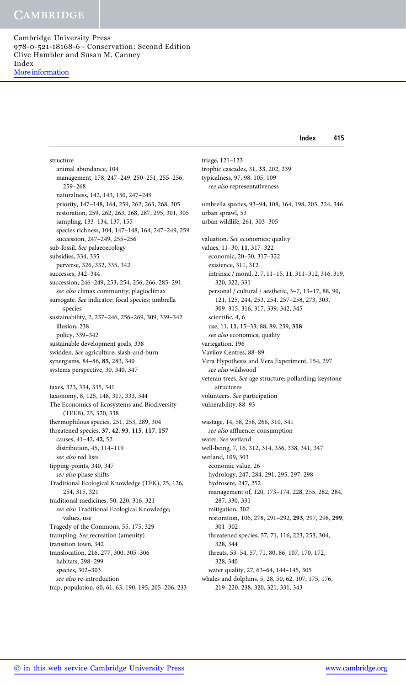Index 415

structure animal abundance, 104 management, 178, 247–249, 250–251, 255–256, 259–268 naturalness, 142, 143, 150, 247–249 priority, 147–148, 164, 259, 262, 263, 268, 305 restoration, 259, 262, 263, 268, 287, 295, 301, 305 sampling, 133–134, 137, 155 species richness, 104, 147–148, 164, 247–249, 259 succession, 247–249, 255–256 sub-fossil. See palaeoecology subsidies, 334, 335 perverse, 326, 332, 335, 342 successes, 342–344 succession, 246–249, 253, 254, 256, 266, 285–291 see also climax community; plagioclimax surrogate. See indicator; focal species; umbrella species sustainability, 2, 237–246, 256–269, 309, 339–342 illusion, 238 policy, 339–342 sustainable development goals, 338 swidden. See agriculture; slash-and-burn synergisms, 84–86, 85, 283, 340 systems perspective, 30, 340, 347 taxes, 323, 334, 335, 341 taxonomy, 8, 125, 148, 317, 333, 344 The Economics of Ecosystems and Biodiversity (TEEB), 25, 320, 338 thermophilous species, 251, 253, 289, 304 threatened species, 37, 42, 93, 115, 117, 157 causes, 41–42, 42, 52 distribution, 45, 114–119 see also red lists tipping-points, 340, 347 see also phase shifts Traditional Ecological Knowledge (TEK), 25, 126, 254, 315, 321 traditional medicines, 50, 220, 316, 321 see also Traditional Ecological Knowledge; values, use Tragedy of the Commons, 55, 175, 329 trampling. See recreation (amenity) transition town, 342 translocation, 216, 277, 300, 305–306 habitats, 298–299 species, 302–303 see also re-introduction trap, population, 60, 61, 63, 190, 195, 205–206, 233

triage, 121–123 trophic cascades, 31, 33, 202, 239 typicalness, 97, 98, 105, 109 see also representativeness umbrella species, 93–94, 108, 164, 198, 203, 224, 346 urban sprawl, 53 urban wildlife, 261, 303–305 valuation. See economics; quality values, 11–30, 11, 317–322 economic, 20–30, 317–322 existence, 311, 312 intrinsic / moral, 2, 7, 11–15, 11, 311–312, 316, 319, 320, 322, 331 personal / cultural / aesthetic, 3–7, 13–17, 88, 90, 121, 125, 244, 253, 254, 257–258, 273, 303, 309–315, 316, 317, 339, 342, 345 scientific, 4, 6 use, 11, 11, 15–33, 88, 89, 239, 318 see also economics; quality variegation, 196 Vavilov Centres, 88–89 Vera Hypothesis and Vera Experiment, 154, 297 see also wildwood veteran trees. See age structure; pollarding; keystone structures volunteers. See participation vulnerability, 88–93 wastage, 14, 58, 258, 266, 310, 341 see also affluence; consumption water. See wetland well-being, 7, 16, 312, 314, 336, 338, 341, 347 wetland, 109, 303 economic value, 26 hydrology, 247, 284, 291, 295, 297, 298 hydrosere, 247, 252 management of, 120, 173–174, 228, 255, 282, 284, 287, 330, 331 mitigation, 302 restoration, 106, 278, 291–292, 293, 297, 298, 299, 301–302 threatened species, 57, 71, 116, 223, 253, 304, 328, 344 threats, 53–54, 57, 71, 80, 86, 107, 170, 172, 328, 340 water quality, 27, 63–64, 144–145, 305

whales and dolphins, 5, 28, 50, 62, 107, 175, 176, 219–220, 238, 320, 321, 331, 343